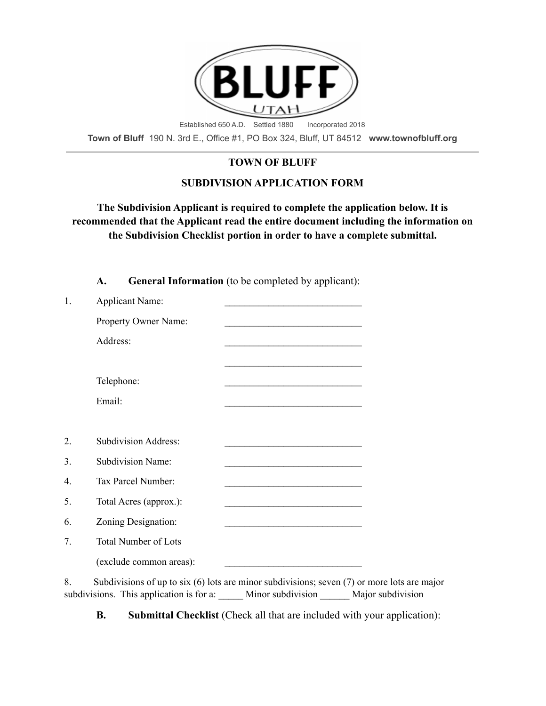

**Town of Bluff** 190 N. 3rd E., Office #1, PO Box 324, Bluff, UT 84512 **www.townofbluff.org**

# **TOWN OF BLUFF**

# **SUBDIVISION APPLICATION FORM**

# **The Subdivision Applicant is required to complete the application below. It is recommended that the Applicant read the entire document including the information on the Subdivision Checklist portion in order to have a complete submittal.**

**A. General Information** (to be completed by applicant):

| 1.               | <b>Applicant Name:</b>      | <u> 1989 - Johann Barbara, martxa alemaniar a</u>                                                                    |
|------------------|-----------------------------|----------------------------------------------------------------------------------------------------------------------|
|                  | Property Owner Name:        | <u> 1989 - Johann Barbara, marka a shekara tsa 1989 - An tsa 1989 - An tsa 1989 - An tsa 1989 - An tsa 1989 - An</u> |
|                  | Address:                    | <u> 1980 - Johann Stein, marwolaethau a bhann an t-Amhair an t-Amhair an t-Amhair an t-Amhair an t-Amhair an t-A</u> |
|                  |                             |                                                                                                                      |
|                  | Telephone:                  |                                                                                                                      |
|                  | Email:                      | <u> 1989 - Johann Stoff, amerikansk politiker (d. 1989)</u>                                                          |
|                  |                             |                                                                                                                      |
| 2.               | <b>Subdivision Address:</b> |                                                                                                                      |
| 3.               | <b>Subdivision Name:</b>    |                                                                                                                      |
| $\overline{4}$ . | Tax Parcel Number:          |                                                                                                                      |
| 5.               | Total Acres (approx.):      | <u> 1989 - Johann Barbara, martxa alemaniar amerikan a</u>                                                           |
| 6.               | Zoning Designation:         |                                                                                                                      |
| 7.               | <b>Total Number of Lots</b> |                                                                                                                      |
|                  | (exclude common areas):     |                                                                                                                      |
| $\Omega$         |                             | $\mathcal{C}_{\text{sub}}$                                                                                           |

8. Subdivisions of up to six (6) lots are minor subdivisions; seven (7) or more lots are major subdivisions. This application is for a: <br>Minor subdivision Major subdivision

**B. Submittal Checklist** (Check all that are included with your application):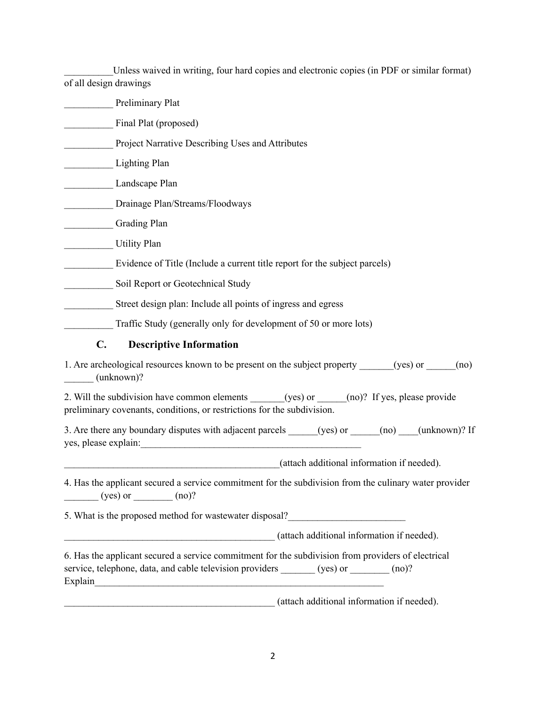Unless waived in writing, four hard copies and electronic copies (in PDF or similar format) of all design drawings

Preliminary Plat Final Plat (proposed) **EXECUTE:** Project Narrative Describing Uses and Attributes Lighting Plan Landscape Plan Drainage Plan/Streams/Floodways Grading Plan Utility Plan Evidence of Title (Include a current title report for the subject parcels) \_\_\_\_\_\_\_\_\_\_ Soil Report or Geotechnical Study **Extract Street design plan: Include all points of ingress and egress** Traffic Study (generally only for development of 50 or more lots) **C. Descriptive Information** 1. Are archeological resources known to be present on the subject property (yes) or  $\qquad \qquad$  (no) \_\_\_\_\_\_ (unknown)? 2. Will the subdivision have common elements (yes) or  $\qquad$  (no)? If yes, please provide preliminary covenants, conditions, or restrictions for the subdivision. 3. Are there any boundary disputes with adjacent parcels (yes) or  $\qquad$  (no)  $\qquad$  (unknown)? If yes, please explain: \_\_\_\_\_\_\_\_\_\_\_\_\_\_\_\_\_\_\_\_\_\_\_\_\_\_\_\_\_\_\_\_\_\_\_\_\_\_\_\_\_\_\_\_(attach additional information if needed). 4. Has the applicant secured a service commitment for the subdivision from the culinary water provider  $(yes)$  or  $(no)?$ 5. What is the proposed method for wastewater disposal?

\_\_\_\_\_\_\_\_\_\_\_\_\_\_\_\_\_\_\_\_\_\_\_\_\_\_\_\_\_\_\_\_\_\_\_\_\_\_\_\_\_\_\_ (attach additional information if needed).

| 6. Has the applicant secured a service commitment for the subdivision from providers of electrical |          |          |
|----------------------------------------------------------------------------------------------------|----------|----------|
| service, telephone, data, and cable television providers                                           | (yes) or | $(no)$ ? |
| Explain                                                                                            |          |          |
|                                                                                                    |          |          |

\_\_\_\_\_\_\_\_\_\_\_\_\_\_\_\_\_\_\_\_\_\_\_\_\_\_\_\_\_\_\_\_\_\_\_\_\_\_\_\_\_\_\_ (attach additional information if needed).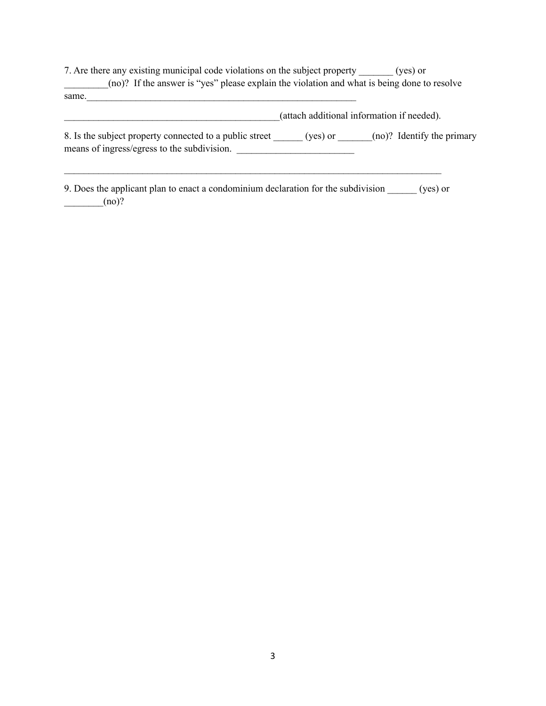7. Are there any existing municipal code violations on the subject property \_\_\_\_\_\_\_ (yes) or \_\_\_\_\_\_\_\_\_(no)? If the answer is "yes" please explain the violation and what is being done to resolve  $same$ .

|                                                                                                        | (attach additional information if needed). |                            |  |
|--------------------------------------------------------------------------------------------------------|--------------------------------------------|----------------------------|--|
| 8. Is the subject property connected to a public street<br>means of ingress/egress to the subdivision. | (yes) or                                   | (no)? Identify the primary |  |

9. Does the applicant plan to enact a condominium declaration for the subdivision \_\_\_\_\_\_ (yes) or  $\qquad \qquad \qquad \text{(no)?}$ 

 $\mathcal{L}_\mathcal{L} = \{ \mathcal{L}_\mathcal{L} = \{ \mathcal{L}_\mathcal{L} = \{ \mathcal{L}_\mathcal{L} = \{ \mathcal{L}_\mathcal{L} = \{ \mathcal{L}_\mathcal{L} = \{ \mathcal{L}_\mathcal{L} = \{ \mathcal{L}_\mathcal{L} = \{ \mathcal{L}_\mathcal{L} = \{ \mathcal{L}_\mathcal{L} = \{ \mathcal{L}_\mathcal{L} = \{ \mathcal{L}_\mathcal{L} = \{ \mathcal{L}_\mathcal{L} = \{ \mathcal{L}_\mathcal{L} = \{ \mathcal{L}_\mathcal{$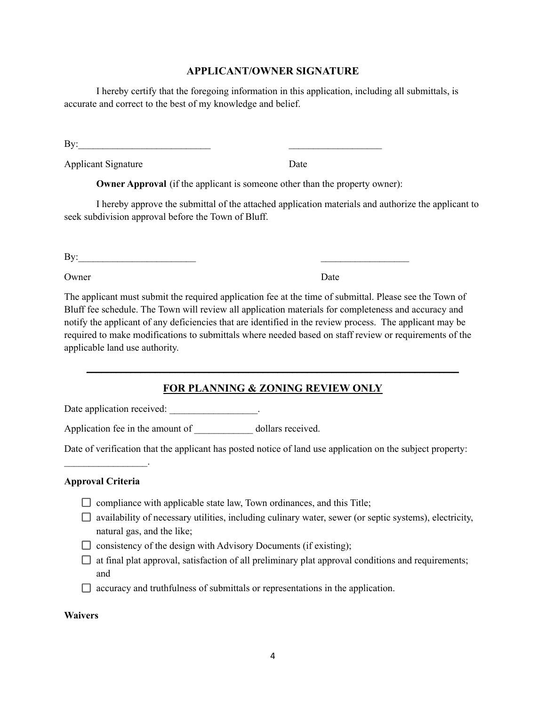## **APPLICANT/OWNER SIGNATURE**

I hereby certify that the foregoing information in this application, including all submittals, is accurate and correct to the best of my knowledge and belief.

By:  $\qquad \qquad \qquad$ 

Applicant Signature Date

**Owner Approval** (if the applicant is someone other than the property owner):

I hereby approve the submittal of the attached application materials and authorize the applicant to seek subdivision approval before the Town of Bluff.

 $\mathbf{By:}$ 

Owner Date

The applicant must submit the required application fee at the time of submittal. Please see the Town of Bluff fee schedule. The Town will review all application materials for completeness and accuracy and notify the applicant of any deficiencies that are identified in the review process. The applicant may be required to make modifications to submittals where needed based on staff review or requirements of the applicable land use authority.

# **FOR PLANNING & ZONING REVIEW ONLY**

**\_\_\_\_\_\_\_\_\_\_\_\_\_\_\_\_\_\_\_\_\_\_\_\_\_\_\_\_\_\_\_\_\_\_\_\_\_\_\_\_\_\_\_\_\_\_\_\_\_\_\_\_\_\_\_\_\_\_\_\_\_\_\_\_\_\_\_\_\_\_\_\_\_\_\_\_**

Date application received: \_\_\_\_\_\_\_\_\_\_\_\_\_\_\_\_\_\_.

Application fee in the amount of dollars received.

Date of verification that the applicant has posted notice of land use application on the subject property:

### **Approval Criteria**

 $\mathcal{L}_\text{max}$  and  $\mathcal{L}_\text{max}$  and  $\mathcal{L}_\text{max}$ 

- $\Box$  compliance with applicable state law, Town ordinances, and this Title;
- $\Box$  availability of necessary utilities, including culinary water, sewer (or septic systems), electricity, natural gas, and the like;
- $\Box$  consistency of the design with Advisory Documents (if existing);
- $\Box$  at final plat approval, satisfaction of all preliminary plat approval conditions and requirements; and
- $\Box$  accuracy and truthfulness of submittals or representations in the application.

### **Waivers**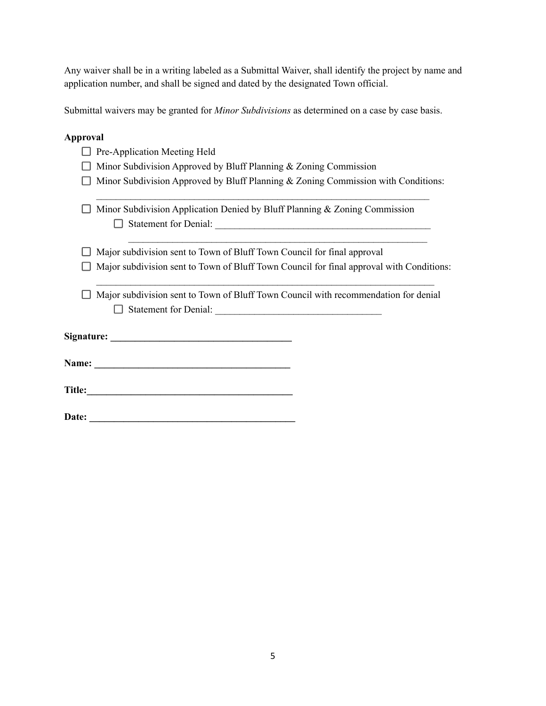Any waiver shall be in a writing labeled as a Submittal Waiver, shall identify the project by name and application number, and shall be signed and dated by the designated Town official.

Submittal waivers may be granted for *Minor Subdivisions* as determined on a case by case basis.

## **Approval**

|       | Pre-Application Meeting Held                                                             |
|-------|------------------------------------------------------------------------------------------|
|       | Minor Subdivision Approved by Bluff Planning & Zoning Commission                         |
|       | Minor Subdivision Approved by Bluff Planning & Zoning Commission with Conditions:        |
|       | Minor Subdivision Application Denied by Bluff Planning & Zoning Commission               |
|       |                                                                                          |
|       | Major subdivision sent to Town of Bluff Town Council for final approval                  |
|       | Major subdivision sent to Town of Bluff Town Council for final approval with Conditions: |
|       | Major subdivision sent to Town of Bluff Town Council with recommendation for denial      |
|       |                                                                                          |
|       |                                                                                          |
|       |                                                                                          |
| Date: |                                                                                          |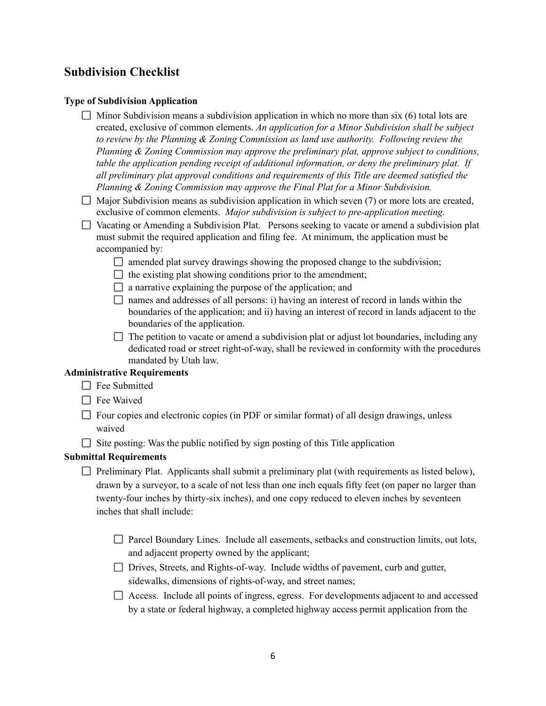# **Subdivision Checklist**

## **Type of Subdivision Application**

- $\Box$  Minor Subdivision means a subdivision application in which no more than six (6) total lots are created, exclusive of common elements. *An application for a Minor Subdivision shall be subject to review by the Planning & Zoning Commission as land use authority. Following review the Planning & Zoning Commission may approve the preliminary plat, approve subject to conditions, table the application pending receipt of additional information, or deny the preliminary plat. If all preliminary plat approval conditions and requirements of this Title are deemed satisfied the Planning & Zoning Commission may approve the Final Plat for a Minor Subdivision.*
- $\Box$  Major Subdivision means as subdivision application in which seven (7) or more lots are created, exclusive of common elements. *Major subdivision is subject to pre-application meeting.*
- $\Box$  Vacating or Amending a Subdivision Plat. Persons seeking to vacate or amend a subdivision plat must submit the required application and filing fee. At minimum, the application must be accompanied by:
	- $\Box$  amended plat survey drawings showing the proposed change to the subdivision;
	- $\Box$  the existing plat showing conditions prior to the amendment;
	- $\Box$  a narrative explaining the purpose of the application; and
	- $\Box$  names and addresses of all persons: i) having an interest of record in lands within the boundaries of the application; and ii) having an interest of record in lands adjacent to the boundaries of the application.
	- $\Box$  The petition to vacate or amend a subdivision plat or adjust lot boundaries, including any dedicated road or street right-of-way, shall be reviewed in conformity with the procedures mandated by Utah law.

## **Administrative Requirements**

- $\Box$  Fee Submitted
- $\Box$  Fee Waived
- $\Box$  Four copies and electronic copies (in PDF or similar format) of all design drawings, unless waived
- $\Box$  Site posting: Was the public notified by sign posting of this Title application

### **Submittal Requirements**

- $\Box$  Preliminary Plat. Applicants shall submit a preliminary plat (with requirements as listed below), drawn by a surveyor, to a scale of not less than one inch equals fifty feet (on paper no larger than twenty-four inches by thirty-six inches), and one copy reduced to eleven inches by seventeen inches that shall include:
	- □ Parcel Boundary Lines. Include all easements, setbacks and construction limits, out lots, and adjacent property owned by the applicant;
	- Drives, Streets, and Rights-of-way. Include widths of pavement, curb and gutter, sidewalks, dimensions of rights-of-way, and street names;
	- Access. Include all points of ingress, egress. For developments adjacent to and accessed by a state or federal highway, a completed highway access permit application from the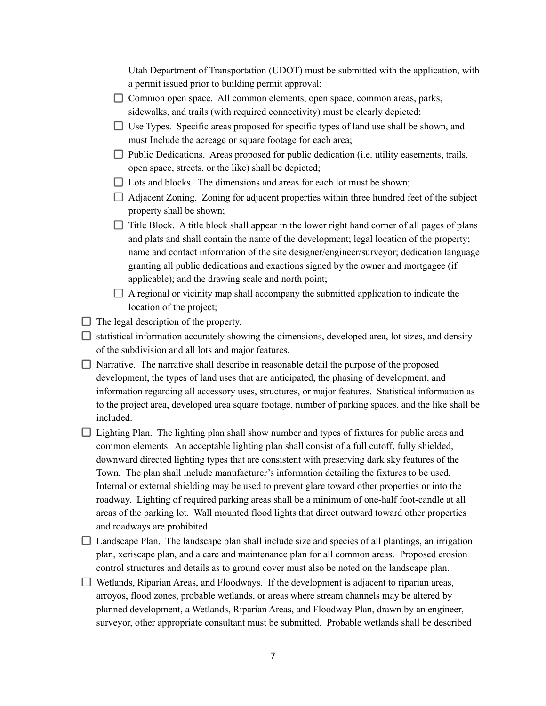Utah Department of Transportation (UDOT) must be submitted with the application, with a permit issued prior to building permit approval;

- □ Common open space. All common elements, open space, common areas, parks, sidewalks, and trails (with required connectivity) must be clearly depicted;
- $\Box$  Use Types. Specific areas proposed for specific types of land use shall be shown, and must Include the acreage or square footage for each area;
- $\Box$  Public Dedications. Areas proposed for public dedication (i.e. utility easements, trails, open space, streets, or the like) shall be depicted;
- $\Box$  Lots and blocks. The dimensions and areas for each lot must be shown;
- $\Box$  Adjacent Zoning. Zoning for adjacent properties within three hundred feet of the subject property shall be shown;
- $\Box$  Title Block. A title block shall appear in the lower right hand corner of all pages of plans and plats and shall contain the name of the development; legal location of the property; name and contact information of the site designer/engineer/surveyor; dedication language granting all public dedications and exactions signed by the owner and mortgagee (if applicable); and the drawing scale and north point;
- $\Box$  A regional or vicinity map shall accompany the submitted application to indicate the location of the project;
- $\Box$  The legal description of the property.
- $\Box$  statistical information accurately showing the dimensions, developed area, lot sizes, and density of the subdivision and all lots and major features.
- $\Box$  Narrative. The narrative shall describe in reasonable detail the purpose of the proposed development, the types of land uses that are anticipated, the phasing of development, and information regarding all accessory uses, structures, or major features. Statistical information as to the project area, developed area square footage, number of parking spaces, and the like shall be included.
- $\Box$  Lighting Plan. The lighting plan shall show number and types of fixtures for public areas and common elements. An acceptable lighting plan shall consist of a full cutoff, fully shielded, downward directed lighting types that are consistent with preserving dark sky features of the Town. The plan shall include manufacturer's information detailing the fixtures to be used. Internal or external shielding may be used to prevent glare toward other properties or into the roadway. Lighting of required parking areas shall be a minimum of one-half foot-candle at all areas of the parking lot. Wall mounted flood lights that direct outward toward other properties and roadways are prohibited.
- $\Box$  Landscape Plan. The landscape plan shall include size and species of all plantings, an irrigation plan, xeriscape plan, and a care and maintenance plan for all common areas. Proposed erosion control structures and details as to ground cover must also be noted on the landscape plan.
- $\Box$  Wetlands, Riparian Areas, and Floodways. If the development is adjacent to riparian areas, arroyos, flood zones, probable wetlands, or areas where stream channels may be altered by planned development, a Wetlands, Riparian Areas, and Floodway Plan, drawn by an engineer, surveyor, other appropriate consultant must be submitted. Probable wetlands shall be described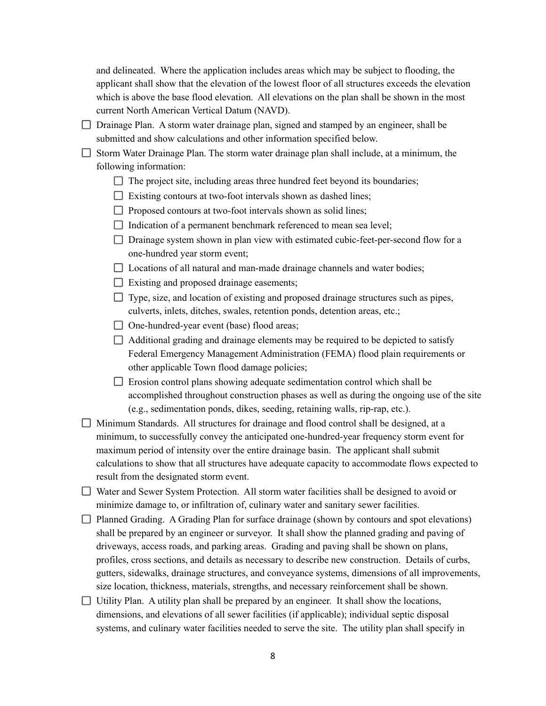and delineated. Where the application includes areas which may be subject to flooding, the applicant shall show that the elevation of the lowest floor of all structures exceeds the elevation which is above the base flood elevation. All elevations on the plan shall be shown in the most current North American Vertical Datum (NAVD).

 $\Box$  Drainage Plan. A storm water drainage plan, signed and stamped by an engineer, shall be submitted and show calculations and other information specified below.

 $\Box$  Storm Water Drainage Plan. The storm water drainage plan shall include, at a minimum, the following information:

- $\Box$  The project site, including areas three hundred feet beyond its boundaries;
- $\Box$  Existing contours at two-foot intervals shown as dashed lines;
- $\Box$  Proposed contours at two-foot intervals shown as solid lines;
- $\Box$  Indication of a permanent benchmark referenced to mean sea level;
- $\Box$  Drainage system shown in plan view with estimated cubic-feet-per-second flow for a one-hundred year storm event;
- $\Box$  Locations of all natural and man-made drainage channels and water bodies;
- □ Existing and proposed drainage easements;

 $\Box$  Type, size, and location of existing and proposed drainage structures such as pipes, culverts, inlets, ditches, swales, retention ponds, detention areas, etc.;

 $\Box$  One-hundred-year event (base) flood areas;

 $\Box$  Additional grading and drainage elements may be required to be depicted to satisfy Federal Emergency Management Administration (FEMA) flood plain requirements or other applicable Town flood damage policies;

 $\Box$  Erosion control plans showing adequate sedimentation control which shall be accomplished throughout construction phases as well as during the ongoing use of the site (e.g., sedimentation ponds, dikes, seeding, retaining walls, rip-rap, etc.).

 $\Box$  Minimum Standards. All structures for drainage and flood control shall be designed, at a minimum, to successfully convey the anticipated one-hundred-year frequency storm event for maximum period of intensity over the entire drainage basin. The applicant shall submit calculations to show that all structures have adequate capacity to accommodate flows expected to result from the designated storm event.

Water and Sewer System Protection. All storm water facilities shall be designed to avoid or minimize damage to, or infiltration of, culinary water and sanitary sewer facilities.

- $\Box$  Planned Grading. A Grading Plan for surface drainage (shown by contours and spot elevations) shall be prepared by an engineer or surveyor. It shall show the planned grading and paving of driveways, access roads, and parking areas. Grading and paving shall be shown on plans, profiles, cross sections, and details as necessary to describe new construction. Details of curbs, gutters, sidewalks, drainage structures, and conveyance systems, dimensions of all improvements, size location, thickness, materials, strengths, and necessary reinforcement shall be shown.
- $\Box$  Utility Plan. A utility plan shall be prepared by an engineer. It shall show the locations, dimensions, and elevations of all sewer facilities (if applicable); individual septic disposal systems, and culinary water facilities needed to serve the site. The utility plan shall specify in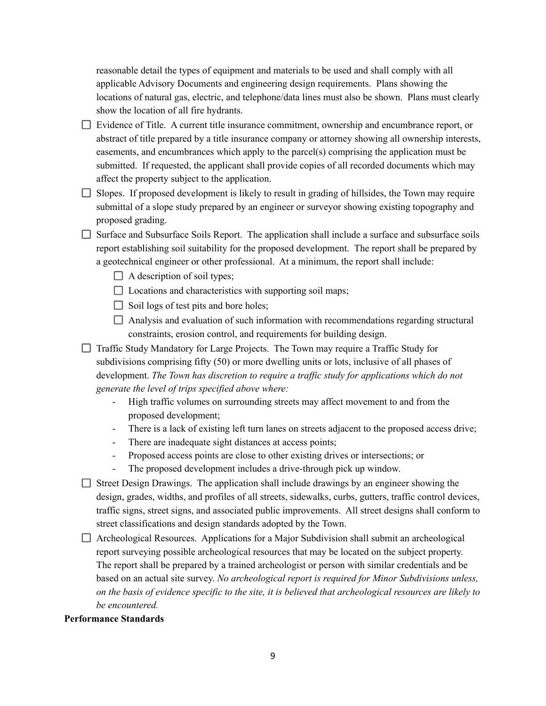reasonable detail the types of equipment and materials to be used and shall comply with all applicable Advisory Documents and engineering design requirements. Plans showing the locations of natural gas, electric, and telephone/data lines must also be shown. Plans must clearly show the location of all fire hydrants.

- Evidence of Title. A current title insurance commitment, ownership and encumbrance report, or abstract of title prepared by a title insurance company or attorney showing all ownership interests, easements, and encumbrances which apply to the parcel(s) comprising the application must be submitted. If requested, the applicant shall provide copies of all recorded documents which may affect the property subject to the application.
- $\Box$  Slopes. If proposed development is likely to result in grading of hillsides, the Town may require submittal of a slope study prepared by an engineer or surveyor showing existing topography and proposed grading.
- $\Box$  Surface and Subsurface Soils Report. The application shall include a surface and subsurface soils report establishing soil suitability for the proposed development. The report shall be prepared by a geotechnical engineer or other professional. At a minimum, the report shall include:
	- $\Box$  A description of soil types;
	- $\Box$  Locations and characteristics with supporting soil maps;
	- $\Box$  Soil logs of test pits and bore holes;
	- $\Box$  Analysis and evaluation of such information with recommendations regarding structural constraints, erosion control, and requirements for building design.
- □ Traffic Study Mandatory for Large Projects. The Town may require a Traffic Study for subdivisions comprising fifty (50) or more dwelling units or lots, inclusive of all phases of development. *The Town has discretion to require a traf ic study for applications which do not generate the level of trips specified above where:*
	- High traffic volumes on surrounding streets may affect movement to and from the proposed development;
	- There is a lack of existing left turn lanes on streets adjacent to the proposed access drive;
	- There are inadequate sight distances at access points;
	- Proposed access points are close to other existing drives or intersections; or
	- The proposed development includes a drive-through pick up window.
- $\Box$  Street Design Drawings. The application shall include drawings by an engineer showing the design, grades, widths, and profiles of all streets, sidewalks, curbs, gutters, traffic control devices, traffic signs, street signs, and associated public improvements. All street designs shall conform to street classifications and design standards adopted by the Town.
- $\Box$  Archeological Resources. Applications for a Major Subdivision shall submit an archeological report surveying possible archeological resources that may be located on the subject property. The report shall be prepared by a trained archeologist or person with similar credentials and be based on an actual site survey. *No archeological report is required for Minor Subdivisions unless,* on the basis of evidence specific to the site, it is believed that archeological resources are likely to *be encountered.*

### **Performance Standards**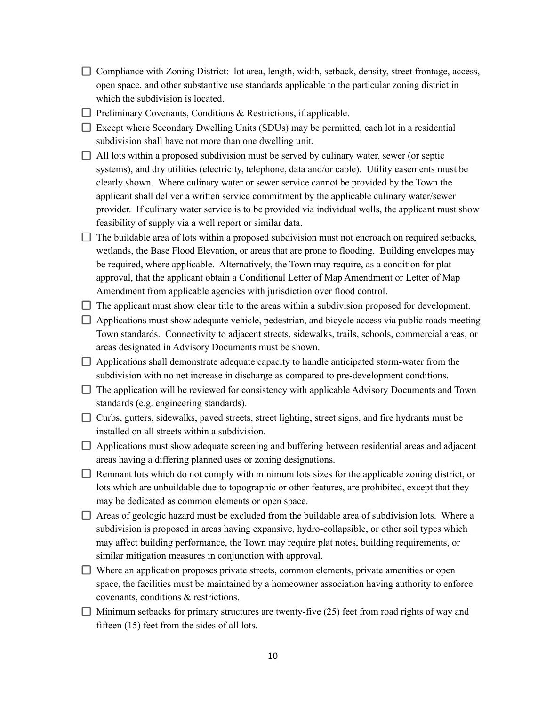- $\Box$  Compliance with Zoning District: lot area, length, width, setback, density, street frontage, access, open space, and other substantive use standards applicable to the particular zoning district in which the subdivision is located.
- $\Box$  Preliminary Covenants, Conditions & Restrictions, if applicable.
- $\Box$  Except where Secondary Dwelling Units (SDUs) may be permitted, each lot in a residential subdivision shall have not more than one dwelling unit.
- $\Box$  All lots within a proposed subdivision must be served by culinary water, sewer (or septic systems), and dry utilities (electricity, telephone, data and/or cable). Utility easements must be clearly shown. Where culinary water or sewer service cannot be provided by the Town the applicant shall deliver a written service commitment by the applicable culinary water/sewer provider. If culinary water service is to be provided via individual wells, the applicant must show feasibility of supply via a well report or similar data.
- $\Box$  The buildable area of lots within a proposed subdivision must not encroach on required setbacks, wetlands, the Base Flood Elevation, or areas that are prone to flooding. Building envelopes may be required, where applicable. Alternatively, the Town may require, as a condition for plat approval, that the applicant obtain a Conditional Letter of Map Amendment or Letter of Map Amendment from applicable agencies with jurisdiction over flood control.
- $\Box$  The applicant must show clear title to the areas within a subdivision proposed for development.
- $\Box$  Applications must show adequate vehicle, pedestrian, and bicycle access via public roads meeting Town standards. Connectivity to adjacent streets, sidewalks, trails, schools, commercial areas, or areas designated in Advisory Documents must be shown.
- $\Box$  Applications shall demonstrate adequate capacity to handle anticipated storm-water from the subdivision with no net increase in discharge as compared to pre-development conditions.
- $\Box$  The application will be reviewed for consistency with applicable Advisory Documents and Town standards (e.g. engineering standards).
- $\Box$  Curbs, gutters, sidewalks, paved streets, street lighting, street signs, and fire hydrants must be installed on all streets within a subdivision.
- $\Box$  Applications must show adequate screening and buffering between residential areas and adjacent areas having a differing planned uses or zoning designations.
- $\Box$  Remnant lots which do not comply with minimum lots sizes for the applicable zoning district, or lots which are unbuildable due to topographic or other features, are prohibited, except that they may be dedicated as common elements or open space.
- $\Box$  Areas of geologic hazard must be excluded from the buildable area of subdivision lots. Where a subdivision is proposed in areas having expansive, hydro-collapsible, or other soil types which may affect building performance, the Town may require plat notes, building requirements, or similar mitigation measures in conjunction with approval.
- $\Box$  Where an application proposes private streets, common elements, private amenities or open space, the facilities must be maintained by a homeowner association having authority to enforce covenants, conditions & restrictions.
- $\Box$  Minimum setbacks for primary structures are twenty-five (25) feet from road rights of way and fifteen (15) feet from the sides of all lots.